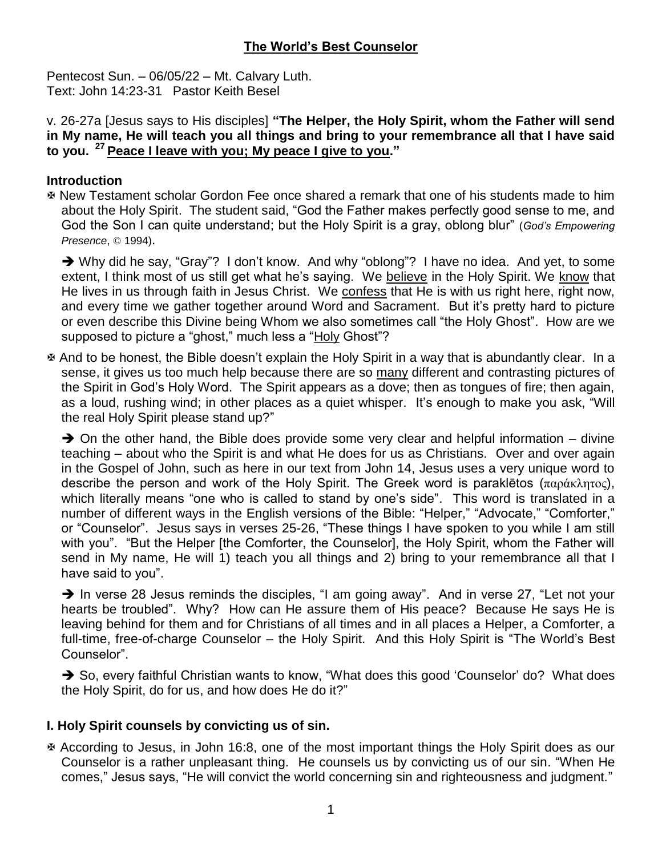# **The World's Best Counselor**

Pentecost Sun. – 06/05/22 – Mt. Calvary Luth. Text: John 14:23-31 Pastor Keith Besel

v. 26-27a [Jesus says to His disciples] **"The Helper, the Holy Spirit, whom the Father will send in My name, He will teach you all things and bring to your remembrance all that I have said to you. <sup>27</sup>Peace I leave with you; My peace I give to you."**

#### **Introduction**

 New Testament scholar Gordon Fee once shared a remark that one of his students made to him about the Holy Spirit. The student said, "God the Father makes perfectly good sense to me, and God the Son I can quite understand; but the Holy Spirit is a gray, oblong blur" (*God's Empowering Presence*, © 1994).

→ Why did he say, "Gray"? I don't know. And why "oblong"? I have no idea. And yet, to some extent, I think most of us still get what he's saying. We believe in the Holy Spirit. We know that He lives in us through faith in Jesus Christ. We confess that He is with us right here, right now, and every time we gather together around Word and Sacrament. But it's pretty hard to picture or even describe this Divine being Whom we also sometimes call "the Holy Ghost". How are we supposed to picture a "ghost," much less a "Holy Ghost"?

 And to be honest, the Bible doesn't explain the Holy Spirit in a way that is abundantly clear. In a sense, it gives us too much help because there are so many different and contrasting pictures of the Spirit in God's Holy Word. The Spirit appears as a dove; then as tongues of fire; then again, as a loud, rushing wind; in other places as a quiet whisper. It's enough to make you ask, "Will the real Holy Spirit please stand up?"

 $\rightarrow$  On the other hand, the Bible does provide some very clear and helpful information – divine teaching – about who the Spirit is and what He does for us as Christians. Over and over again in the Gospel of John, such as here in our text from John 14, Jesus uses a very unique word to describe the person and work of the Holy Spirit. The Greek word is paraklētos (παράκλητος), which literally means "one who is called to stand by one's side". This word is translated in a number of different ways in the English versions of the Bible: "Helper," "Advocate," "Comforter," or "Counselor". Jesus says in verses 25-26, "These things I have spoken to you while I am still with you". "But the Helper [the Comforter, the Counselor], the Holy Spirit, whom the Father will send in My name, He will 1) teach you all things and 2) bring to your remembrance all that I have said to you".

 $\rightarrow$  In verse 28 Jesus reminds the disciples, "I am going away". And in verse 27, "Let not your hearts be troubled". Why? How can He assure them of His peace? Because He says He is leaving behind for them and for Christians of all times and in all places a Helper, a Comforter, a full-time, free-of-charge Counselor – the Holy Spirit. And this Holy Spirit is "The World's Best Counselor".

→ So, every faithful Christian wants to know, "What does this good 'Counselor' do? What does the Holy Spirit, do for us, and how does He do it?"

## **I. Holy Spirit counsels by convicting us of sin.**

 According to Jesus, in John 16:8, one of the most important things the Holy Spirit does as our Counselor is a rather unpleasant thing. He counsels us by convicting us of our sin. "When He comes," Jesus says, "He will convict the world concerning sin and righteousness and judgment."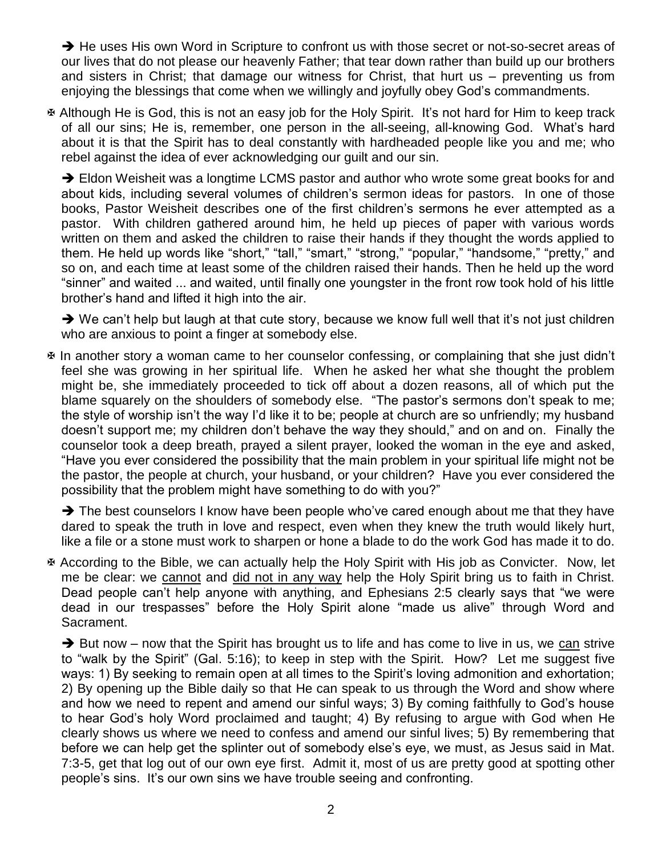→ He uses His own Word in Scripture to confront us with those secret or not-so-secret areas of our lives that do not please our heavenly Father; that tear down rather than build up our brothers and sisters in Christ; that damage our witness for Christ, that hurt us – preventing us from enjoying the blessings that come when we willingly and joyfully obey God's commandments.

 Although He is God, this is not an easy job for the Holy Spirit. It's not hard for Him to keep track of all our sins; He is, remember, one person in the all-seeing, all-knowing God. What's hard about it is that the Spirit has to deal constantly with hardheaded people like you and me; who rebel against the idea of ever acknowledging our guilt and our sin.

→ Eldon Weisheit was a longtime LCMS pastor and author who wrote some great books for and about kids, including several volumes of children's sermon ideas for pastors. In one of those books, Pastor Weisheit describes one of the first children's sermons he ever attempted as a pastor. With children gathered around him, he held up pieces of paper with various words written on them and asked the children to raise their hands if they thought the words applied to them. He held up words like "short," "tall," "smart," "strong," "popular," "handsome," "pretty," and so on, and each time at least some of the children raised their hands. Then he held up the word "sinner" and waited ... and waited, until finally one youngster in the front row took hold of his little brother's hand and lifted it high into the air.

 $\rightarrow$  We can't help but laugh at that cute story, because we know full well that it's not just children who are anxious to point a finger at somebody else.

 In another story a woman came to her counselor confessing, or complaining that she just didn't feel she was growing in her spiritual life. When he asked her what she thought the problem might be, she immediately proceeded to tick off about a dozen reasons, all of which put the blame squarely on the shoulders of somebody else. "The pastor's sermons don't speak to me; the style of worship isn't the way I'd like it to be; people at church are so unfriendly; my husband doesn't support me; my children don't behave the way they should," and on and on. Finally the counselor took a deep breath, prayed a silent prayer, looked the woman in the eye and asked, "Have you ever considered the possibility that the main problem in your spiritual life might not be the pastor, the people at church, your husband, or your children? Have you ever considered the possibility that the problem might have something to do with you?"

 $\rightarrow$  The best counselors I know have been people who've cared enough about me that they have dared to speak the truth in love and respect, even when they knew the truth would likely hurt, like a file or a stone must work to sharpen or hone a blade to do the work God has made it to do.

 According to the Bible, we can actually help the Holy Spirit with His job as Convicter. Now, let me be clear: we cannot and did not in any way help the Holy Spirit bring us to faith in Christ. Dead people can't help anyone with anything, and Ephesians 2:5 clearly says that "we were dead in our trespasses" before the Holy Spirit alone "made us alive" through Word and Sacrament.

 $\rightarrow$  But now – now that the Spirit has brought us to life and has come to live in us, we can strive to "walk by the Spirit" (Gal. 5:16); to keep in step with the Spirit. How? Let me suggest five ways: 1) By seeking to remain open at all times to the Spirit's loving admonition and exhortation; 2) By opening up the Bible daily so that He can speak to us through the Word and show where and how we need to repent and amend our sinful ways; 3) By coming faithfully to God's house to hear God's holy Word proclaimed and taught; 4) By refusing to argue with God when He clearly shows us where we need to confess and amend our sinful lives; 5) By remembering that before we can help get the splinter out of somebody else's eye, we must, as Jesus said in Mat. 7:3-5, get that log out of our own eye first. Admit it, most of us are pretty good at spotting other people's sins. It's our own sins we have trouble seeing and confronting.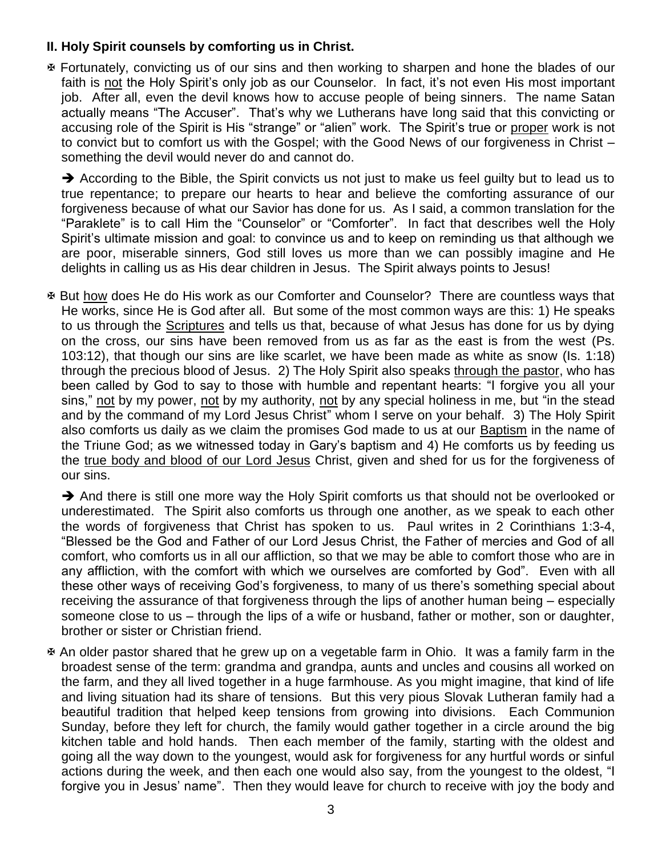## **II. Holy Spirit counsels by comforting us in Christ.**

 Fortunately, convicting us of our sins and then working to sharpen and hone the blades of our faith is not the Holy Spirit's only job as our Counselor. In fact, it's not even His most important job. After all, even the devil knows how to accuse people of being sinners. The name Satan actually means "The Accuser". That's why we Lutherans have long said that this convicting or accusing role of the Spirit is His "strange" or "alien" work. The Spirit's true or proper work is not to convict but to comfort us with the Gospel; with the Good News of our forgiveness in Christ – something the devil would never do and cannot do.

 $\rightarrow$  According to the Bible, the Spirit convicts us not just to make us feel guilty but to lead us to true repentance; to prepare our hearts to hear and believe the comforting assurance of our forgiveness because of what our Savior has done for us. As I said, a common translation for the "Paraklete" is to call Him the "Counselor" or "Comforter". In fact that describes well the Holy Spirit's ultimate mission and goal: to convince us and to keep on reminding us that although we are poor, miserable sinners, God still loves us more than we can possibly imagine and He delights in calling us as His dear children in Jesus. The Spirit always points to Jesus!

 But how does He do His work as our Comforter and Counselor? There are countless ways that He works, since He is God after all. But some of the most common ways are this: 1) He speaks to us through the **Scriptures** and tells us that, because of what Jesus has done for us by dying on the cross, our sins have been removed from us as far as the east is from the west (Ps. 103:12), that though our sins are like scarlet, we have been made as white as snow (Is. 1:18) through the precious blood of Jesus. 2) The Holy Spirit also speaks through the pastor, who has been called by God to say to those with humble and repentant hearts: "I forgive you all your sins," not by my power, not by my authority, not by any special holiness in me, but "in the stead and by the command of my Lord Jesus Christ" whom I serve on your behalf. 3) The Holy Spirit also comforts us daily as we claim the promises God made to us at our Baptism in the name of the Triune God; as we witnessed today in Gary's baptism and 4) He comforts us by feeding us the true body and blood of our Lord Jesus Christ, given and shed for us for the forgiveness of our sins.

 $\rightarrow$  And there is still one more way the Holy Spirit comforts us that should not be overlooked or underestimated. The Spirit also comforts us through one another, as we speak to each other the words of forgiveness that Christ has spoken to us. Paul writes in 2 Corinthians 1:3-4, "Blessed be the God and Father of our Lord Jesus Christ, the Father of mercies and God of all comfort, who comforts us in all our affliction, so that we may be able to comfort those who are in any affliction, with the comfort with which we ourselves are comforted by God". Even with all these other ways of receiving God's forgiveness, to many of us there's something special about receiving the assurance of that forgiveness through the lips of another human being – especially someone close to us – through the lips of a wife or husband, father or mother, son or daughter, brother or sister or Christian friend.

 An older pastor shared that he grew up on a vegetable farm in Ohio. It was a family farm in the broadest sense of the term: grandma and grandpa, aunts and uncles and cousins all worked on the farm, and they all lived together in a huge farmhouse. As you might imagine, that kind of life and living situation had its share of tensions. But this very pious Slovak Lutheran family had a beautiful tradition that helped keep tensions from growing into divisions. Each Communion Sunday, before they left for church, the family would gather together in a circle around the big kitchen table and hold hands. Then each member of the family, starting with the oldest and going all the way down to the youngest, would ask for forgiveness for any hurtful words or sinful actions during the week, and then each one would also say, from the youngest to the oldest, "I forgive you in Jesus' name". Then they would leave for church to receive with joy the body and